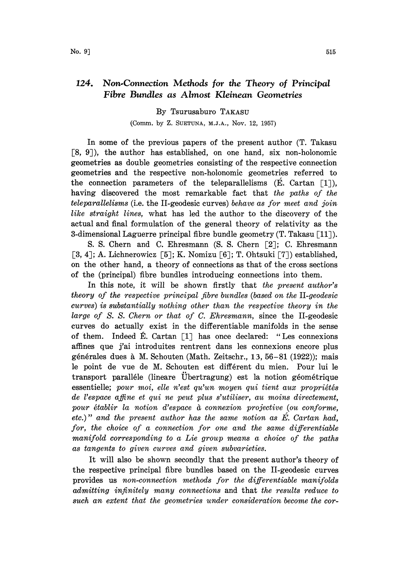## 124. Non.Connection Methods for the Theory of Principal Fibre Bundles as Almost Kleinean Geometries

## By Tsurusaburo TAKASU

(Comm. by Z. SUETUNA, M.J.A., Nov. 12, 1957)

In some of the previous papers of the present author (T. Takasu [8, 9), the author has established, on one hand, six non-holonomic geometries as double geometries consisting of the respective connection geometries and the respective non-holonomic geometries referred to the connection parameters of the teleparallelisms  $(E. Cartan [1]),$ having discovered the most remarkable fact that the paths of the teleparallelisms (i.e. the II-geodesic curves) behave as for meet and join like straight lines, what has led the author to the discovery of the actual and final formulation of the general theory of relativity as the 3-dimensional Laguerre principal fibre bundle geometry  $(T, Takasu \lceil 11\rceil)$ .

S. S. Chern and C. Ehresmann (S. S. Chern [2]; C. Ehresmann [3, 4]; A. Lichnerowicz [5]; K. Nomizu [6]; T. Ohtsuki [7]) established, on the other hand, a theory of connections as that of the cross sections of the (principal) fibre bundles introducing connections into them.

In this note, it will be shown firstly that the present author's theory of the respective principal fibre bundles (based on the II-geodesic curves) is substantially nothing other than the respective theory in the large of S. S. Chern or that of C. Ehresmann, since the II-geodesic curves do actually exist in the differentiable manifolds in the sense of them. Indeed  $\hat{E}$ . Cartan [1] has once declared: "Les connexions affines que j'ai introduites rentrent dans les connexions encore plus générales dues à M. Schouten (Math. Zeitschr., 13, 56-81 (1922)); mais le point de vue de M. Schouten est different du mien. Pour lui le transport paralléle (lineare Übertragung) est la notion géométrique  $e$ ssentielle; pour moi, elle n'est qu'un moyen qui tient aux propriétés de l'espace affine et qui ne peut plus s'utiliser, au moins directement, pour établir la notion d'espace à connexion projective (ou conforme, etc.)" and the present author has the same notion as  $E$ . Cartan had, for, the choice of a connection for one and the same differentiable manifold corresponding to a Lie group means a choice of the paths as tangents to given curves and given subvarieties.

It will also be shown secondly that the present author's theory of the respective principal fibre bundles based on the II-geodesic curves provides us non-connection methods for the differentiable manifolds admitting infinitely many connections and that the results reduce to such an extent that the geometries under consideration become the cor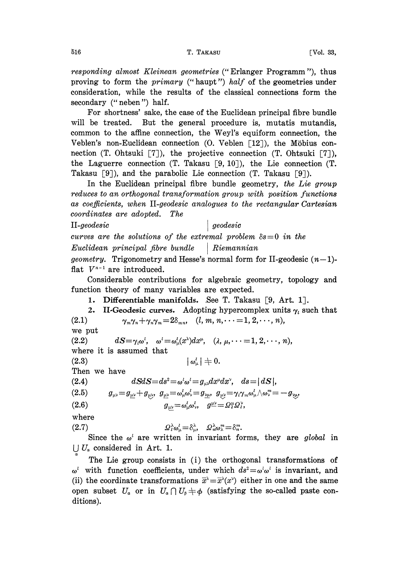responding almost Kleinean geometries ("Erlanger Programm "), thus proving to form the *primary* ("haupt") half of the geometries under consideration, while the results of the classical connections form the secondary (" neben") half.

For shortness' sake, the case of the Euclidean principal fibre bundle will be treated. But the general procedure is, mutatis mutandis, common to the affine connection, the Weyl's equiform connection, the Veblen's non-Euclidean connection  $(0.$  Veblen  $[12]$ ), the Möbius connection (T. Ohtsuki [7]), the projective connection (T. Ohtsuki [7]), the Laguerre connection (T. Takasu  $\lceil 9, 10 \rceil$ ), the Lie connection (T. Takasu [9]), and the parabolic Lie connection (T. Takasu [9]).

In the Euclidean principal fibre bundle geometry, the Lie group reduces to an orthogonal transformation group with position functions as coefficients, when II-geodesic analogues to the rectangular Cartesian coordinates are adopted. The

II-geodesic geodesic curves are the solutions of the extremal problem  $\delta s=0$  in the  $Euclidean\ principal\ fibre\ bundle\ \ | \ Riemannian$ *geometry.* Trigonometry and Hesse's normal form for II-geodesic  $(n-1)$ flat  $V^{n-1}$  are introduced.

 $V^{n-1}$  are introduced.<br>Considerable contributions for algebraic geometry, topology and function theory of many variables are expected.

1. Differentiable manifolds. See T. Takasu [9, Art. 1].

2. II-Geodesic curves. Adopting hypercomplex units  $\gamma_i$  such that (2.1)  $\gamma_m \gamma_n + \gamma_n \gamma_m = 2\delta_{mn}$ ,  $(l, m, n, \dots = 1, 2, \dots, n)$ ,  $\gamma_m \gamma_n + \gamma_n \gamma_m = 2\delta_{mn}, \quad (l, m, n, \cdots = 1, 2, \cdots, n),$ 

we put

(2.2)  $dS = \gamma_i \omega^i$ ,  $\omega^i = \omega_i^i(x^{\lambda}) dx^{\mu}$ ,  $(\lambda, \mu, \dots = 1, 2, \dots, n)$ , where it is assumed that

$$
(2.3) \t\t\t |\omega^i_\mu| \neq 0.
$$

Then we have

$$
(2.4) \t\t dSdS = ds2 = \omegat\omegat = g\mu\nudx\mudx\nu, \t ds = |dS|,
$$

$$
(2.5) \qquad \quad g_{\mu\nu}\!=\!g_{\underline{\mu}\underline{\nu}}\!+\!g_{\underline{\nu}\underline{\nu}},\ \ g_{\underline{\mu}\underline{\nu}}\!=\!\omega^l_{\mu}\omega^l_{\nu}\!=\!g_{\underline{\nu}\underline{\mu}},\ \ g_{\underline{\nu}\underline{\nu}}\!=\!\gamma_l\gamma_m\omega^l_{\mu}\wedge\omega^m_{\nu}\!=\!-g_{\underline{\nu}\underline{\mu}},
$$

$$
(2.6) \t g_{\mu\nu} = \omega^l_\mu \omega^l_\nu, \t g^{\mu\nu} = \Omega^{\mu}_i \Omega^{\nu}_i,
$$

where

(2.7)  $Q_i^{\lambda} \omega_{\mu}^{\lambda} = \delta_{\mu}^{\lambda}, \quad Q_n^{\lambda} \omega_{\lambda}^m = \delta_n^m.$ 

Since the  $\omega^i$  are written in invariant forms, they are global in  $\bigcup U_{\alpha}$  considered in Art. 1.

The Lie group consists in (i) the orthogonal transformations of  $\omega^i$  with function coefficients, under which  $ds^2 = \omega^i \omega^i$  is invariant, and (ii) the coordinate transformations  $\bar{x}^{\lambda}=\bar{x}^{\lambda}(x^{\nu})$  either in one and the same open subset  $U_a$  or in  $U_a \cap U_b \neq \phi$  (satisfying the so-called paste conditions).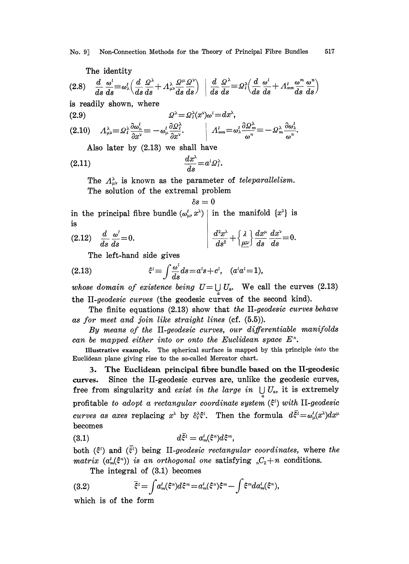The identity

$$
(2.8) \quad \frac{d}{ds}\frac{\omega^i}{ds}\equiv\omega_\lambda^i\Big(\frac{d}{ds}\frac{\Omega^\lambda}{ds}+\Lambda^\lambda_{\mu\nu}\frac{\Omega^\mu}{ds}\frac{\Omega^\nu}{ds}\Big)\ \Big|\ \frac{d}{ds}\frac{\Omega^\lambda}{ds}\equiv\Omega_i^\lambda\Big(\frac{d}{ds}\frac{\omega^i}{ds}+\Lambda^l_{mn}\frac{\omega^m}{ds}\frac{\omega^n}{ds}\Big)
$$

is readily shown, where

(2.9) 
$$
\Omega^{\lambda} = \Omega^{\lambda}_{i}(x^{\nu})\omega^{i} = dx^{\lambda},
$$

$$
(2.10) \tA\mu\nu\lambda \equiv \Omegat\lambda \frac{\partial \omega_{\mu}^l}{\partial x^{\nu}} \equiv -\omega_{\mu}^l \frac{\partial \Omega_{\tau}^{\lambda}}{\partial x^{\nu}}.
$$
 
$$
\left| Amnl = \omega_{\lambda}^l \frac{\partial \Omega_{m}^{\lambda}}{\omega^n} \equiv -\Omega_{m}^{\lambda} \frac{\partial \omega_{\lambda}^l}{\omega^n}.
$$

Also later by (2.13) we shall have

$$
\frac{dx^{\lambda}}{ds}=a^{\iota}Q_{\iota}^{\lambda}.
$$

The  $\Lambda_{\mu\nu}^{\lambda}$  is known as the parameter of teleparallelism. The solution of the extremal problem

$$
\delta s = 0
$$

in the principal fibre bundle  $(\omega_{\mu}^{l}, x^{\lambda})$  in the manifold  $\{x^{\lambda}\}\$ is is

$$
(2.12) \quad \frac{d}{ds}\frac{\omega'}{ds} = 0. \qquad \qquad \frac{d^2x^{\lambda}}{ds^2} + \left\{\frac{\lambda}{\mu\nu}\right\}\frac{dx^{\mu}}{ds}\frac{dx^{\nu}}{ds} = 0.
$$

The left-hand side gives

(2.13) 
$$
\xi^{i} \equiv \int \frac{\omega^{i}}{ds} ds = a^{i} s + c^{i}, \quad (a^{i} a^{i} = 1),
$$

whose domain of existence being  $U = \bigcup U_a$ . We call the curves (2.13) the II-geodesic curves (the geodesic curves of the second kind).

The finite equations  $(2.13)$  show that the II-geodesic curves behave<br>for meet and join like straight lines  $(cf. (5.5))$ .

as for meet and join like straight lines (cf.  $(5.5)$ ).<br>By means of the II-geodesic curves, our differentiable manifolds can be mapped either into or onto the Euclidean space  $E<sup>n</sup>$ .

Illustrative example. The spherical surface is mapped by this principle into the Euclidean plane giving rise to the so-called Mercator chart.

3. The Euclidean principal fibre bundle based on the lI-geodesic curves. Since the II-geodesie curves are, unlike the geodesic curves, free from singularity and exist in the large in  $\bigcup U_a$ , it is extremely profitable to adopt a rectangular coordinate system  $(\xi^i)$  with II-geodesic curves as axes replacing  $x^{\lambda}$  by  $\delta_i^{\lambda} \xi^i$ . Then the formula  $d\bar{\xi}^i = \omega_{\mu}^i(x^{\lambda})dx^{\mu}$ becomes

(3.1) 
$$
d\bar{\xi}^i = a_m^i(\xi^n)d\xi^m,
$$

both  $(\xi^i)$  and  $(\xi^i)$  being II-geodesic rectangular coordinates, where the matrix  $(a_m^i(\xi^n))$  is an orthogonal one satisfying  $C_2+n$  conditions.

The integral of (3.1) becomes

(3.2) 
$$
\bar{\xi}^{i} = \int a_m^{i}(\xi^n) d\xi^m = a_m^{i}(\xi^n) \xi^m - \int \xi^m d a_m^{i}(\xi^n),
$$

which is of the form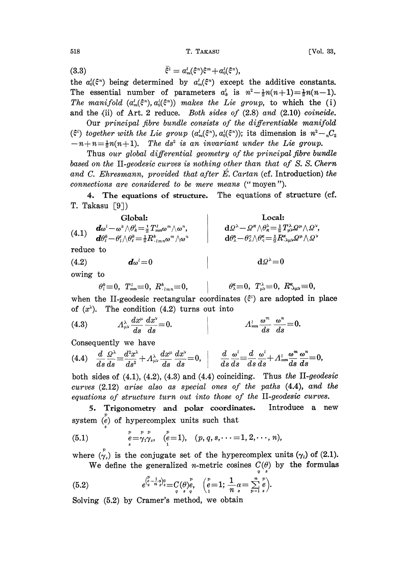518 T. TAKASU [Vol. 33,

(3.3) 
$$
\bar{\xi}^i = a_m^i(\xi^n)\xi^m + a_0^i(\xi^n),
$$

the  $a_0^l(\xi^n)$  being determined by  $a_m^l(\xi^n)$  except the additive constants. The essential number of parameters  $a_k^i$  is  $n^2 - \frac{1}{2}n(n+1) = \frac{1}{2}n(n-1)$ . The manifold  $(a_m^{\prime}(\xi^n), a_0^{\prime}(\xi^n))$  makes the Lie group, to which the (i) and the (ii) of Art. 2 reduce. Both sides of (2.8) and (2.10) coincide.

Our principal fibre bundle consists of the differentiable manifold ( $\xi^i$ ) together with the Lie group  $(a_m^i(\xi^n), a_0^i(\xi^n))$ ; its dimension is  $n^2 - C_2$  $-n+n=\frac{1}{2}n(n+1)$ . The ds<sup>2</sup> is an invariant under the Lie group.

Thus our global differential geometry of the principal fibre bundle based on the II-geodesic curves is nothing other than that of S. S. Chern and C. Ehresmann, provided that after  $\acute{E}$ . Cartan (cf. Introduction) the connections are considered to be mere means (" moyen").

4. The equations of structure. The equations of structure (cf. T. Takasu  $\lceil 9 \rceil$ )

| Global:                                                                                                                                         | Local:                                                                                                                                            |                                                                                                                               |
|-------------------------------------------------------------------------------------------------------------------------------------------------|---------------------------------------------------------------------------------------------------------------------------------------------------|-------------------------------------------------------------------------------------------------------------------------------|
| (4.1)                                                                                                                                           | \n $d\omega^l - \omega^k \wedge \theta_k^l = \frac{1}{2} T_{mm}^l \omega^m \wedge \omega^n$ \n                                                    | \n $d\Omega^\lambda - \Omega^\kappa \wedge \theta_k^\lambda = \frac{1}{2} T_{\mu\nu}^\lambda \Omega^\mu \wedge \Omega^\nu$ \n |
| \n $d\theta_\ell^k - \theta_\ell^l \wedge \theta_\ell^k = \frac{1}{2} R_{\ell_{lmn}}^k \omega^m \wedge \omega^n$ \n                             | \n $d\theta_\lambda^\lambda - \theta_\lambda^\kappa \wedge \theta_\kappa^\kappa = \frac{1}{2} T_{\mu\nu}^\lambda \Omega^\mu \wedge \Omega^\nu$ \n |                                                                                                                               |
| \n $d\Omega^\lambda = \theta_\lambda^\kappa \wedge \theta_\kappa^\kappa = \frac{1}{2} R_{\lambda\mu\nu}^\kappa \Omega^\mu \wedge \Omega^\nu$ \n |                                                                                                                                                   |                                                                                                                               |
| \n $d\Omega^\lambda = 0$ \n                                                                                                                     | \n $d\Omega^\lambda = 0$ \n                                                                                                                       |                                                                                                                               |

owing to

$$
\theta_t^k \equiv 0, \ \ T^{\iota}_{mn} \equiv 0, \ R^{\kappa}_{\cdot \, \iota mn} \equiv 0, \qquad \big| \qquad \theta_{\lambda}^{\kappa} \equiv 0, \ T^{\lambda}_{\mu\nu} \equiv 0, \ R^{\kappa}_{\cdot \lambda \mu\nu} \equiv 0,
$$

$$
\theta_\lambda^\kappa\!\!\equiv\!0,~T_{\mu\nu}^\lambda\!\!\equiv\!0,~R_{\lambda\mu\nu}^\kappa\!\!\equiv\!0,
$$

when the II-geodesic rectangular coordinates  $(\xi^i)$  are adopted in place of  $(x^{\lambda})$ . The condition  $(4.2)$  turns out into

(4.3) 
$$
A_{\mu\nu}^{\lambda} \frac{dx^{\mu}}{ds} \frac{dx^{\nu}}{ds} = 0.
$$
 
$$
A_{mn}^{l} \frac{\omega^{m}}{ds} \frac{\omega^{n}}{ds} = 0.
$$

Consequently we have

$$
(4.4) \quad \frac{d}{ds}\frac{\Omega^{\lambda}}{ds}\equiv\frac{d^2x^{\lambda}}{ds^2}+\varLambda^{\lambda}_{\mu\nu}\frac{dx^{\mu}}{ds}\frac{dx^{\nu}}{ds}=0,\quad \bigg|\qquad \frac{d}{ds}\frac{\omega^i}{ds}\equiv\frac{d}{ds}\frac{\omega^i}{ds}+\varLambda^{\mu}_{mn}\frac{\omega^m}{ds}\frac{\omega^n}{ds}=0,
$$

(4.4)  $\frac{d}{ds} \frac{Q^{\lambda}}{ds} = \frac{d^2x^{\lambda}}{ds^2} + A_{\mu\nu}^{\lambda} \frac{dx^{\mu}}{ds} \frac{dx^{\nu}}{ds} = 0,$   $\frac{d}{ds} \frac{\omega^i}{ds} = \frac{d}{ds} \frac{\omega^i}{ds} + A_{mn}^{\lambda} \frac{\omega^m}{ds} \frac{\omega^n}{ds} = 0,$ <br>both sides of (4.1), (4.2), (4.3) and (4.4) coinciding. Thus the II-geode equations of structure turn out into those of the II-geodesic curves.

5. Trigonometry and polar coordinates. Introduce a new system  $\stackrel{p}{(e)}$  of hypercomplex units such that

(5.1) 
$$
\stackrel{p}{e} = \stackrel{p}{\gamma_1} \stackrel{p}{\gamma_2}, \quad \stackrel{p}{(e=1)}, \quad (p, q, s, \cdots = 1, 2, \cdots, n),
$$

where  $\chi''(x)$  is the conjugate set of the hypercomplex units  $(\gamma_i)$  of (2.1).

We define the generalized *n*-metric cosines  $C(\theta)$  by the formulas

(5.2) 
$$
e^{\binom{p}{s}-\frac{1}{n}s}_{s}g} = C_{q}(\theta) e^p, \quad \binom{p}{t} = 1; \frac{1}{n} \alpha = \sum_{p=1}^{n} e^p.
$$

 $\begin{array}{ccc}\n\frac{1}{q} & \frac{n}{q} & \frac{n}{q} \\
\frac{n}{q} & \frac{n}{q} & \frac{n}{q} \\
\frac{n}{q} & \frac{n}{q} & \frac{n}{q} \\
\frac{n}{q} & \frac{n}{q} & \frac{n}{q}\n\end{array}$ Solving (5:2) by Cramer's method, we obtain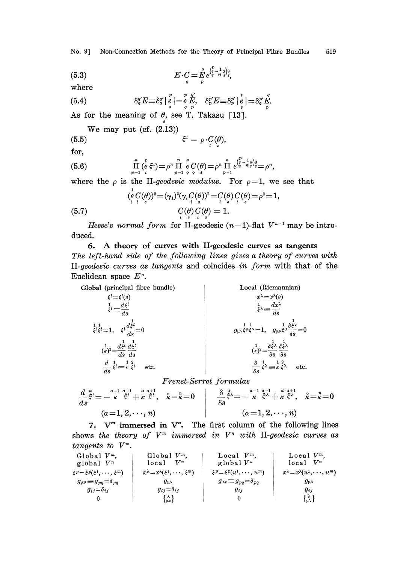No. 9] Non-Connection Methods for the Theory of Principal Fibre Bundles 519

(5.3) 
$$
E \cdot C = E \int_{q}^{q} e^{\int_{s}^{p} - \frac{1}{n} \Delta \big) \Theta_{s}} s,
$$

where

(5.4) 
$$
\delta_9^{\gamma'} E \equiv \delta_9^{\gamma'} \Big|_s^p \Big| = \frac{p}{e} \frac{\gamma'}{E}, \quad \delta_p^{\gamma'} E \equiv \delta_p^{\gamma'} \Big|_s^p \Big| = \delta_9^{\gamma'} \frac{\gamma}{E}.
$$

As for the meaning of  $\theta$ , see T. Takasu [13].

We may put (cf. 
$$
(2.13)
$$
)

$$
\xi^i = \rho \cdot C(\theta),
$$

for,

(5.6) 
$$
\prod_{p=1}^{n} {p \over \ell} \xi^{i} = \rho^{n} \prod_{p=1}^{n} \frac{p}{q} C(\theta) = \rho^{n} \prod_{p=1}^{n} e^{\left(\frac{p}{s} - \frac{1}{n} a\right) \theta}_{s} = \rho^{n},
$$

where the  $\rho$  is the II-geodesic modulus. For  $\rho=1$ , we see that

(5.7) 
$$
(\frac{1}{e}C(\theta))^2 = (\gamma_1)^2(\gamma_1C(\theta))^2 = C(\theta)C(\theta) = \rho^2 = 1,
$$

$$
C(\theta)C(\theta) = 1.
$$

Hesse's normal form for II-geodesic  $(n-1)$ -flat  $V^{n-1}$  may be intro-<br>d. duced.

## 6. A theory of curves with II-geodesic curves as tangents The left-hand side of the following lines gives a theory of curves with II-geodesic curves as tangents and coincides in form with that of the Euclidean space  $E<sup>n</sup>$ .

**Global (principal fibre bundle)**

\n
$$
\begin{aligned}\n\dot{\xi}^l &= \dot{\xi}^l(s) \\
\dot{\xi}^l &= \frac{d\xi^l}{ds} \\
\dot{\xi}^l &= \frac{d\xi^l}{ds} \\
\dot{\xi}^l &= 1, \quad \xi^l \frac{d\xi^l}{ds} = 0 \\
(\kappa)^2 &= \frac{d\xi^l}{ds} \frac{d\xi^l}{ds} \\
\frac{d}{ds} \dot{\xi}^l &= \kappa \dot{\xi}^l\n\end{aligned}
$$
\nLet  $\xi$  be the following matrices:

\n
$$
\begin{aligned}\n\text{Local (Riemannian)} \\
\dot{x}^{\lambda} &= x^{\lambda}(s) \\
\dot{x}^{\lambda} &= \frac{d\chi^{\lambda}}{ds} \\
\frac{1}{s} \lambda &= \frac{d\chi^{\lambda}}{ds} \\
(\kappa)^2 &= \frac{\delta}{\delta s} \lambda \frac{1}{\delta s} \frac{1}{\delta s} \\
\frac{\delta}{\delta s} \dot{\xi}^{\lambda} &= \frac{1}{\kappa} \dot{\xi}^{\lambda} \\
\frac{\delta}{\delta s} \dot{\xi}^{\lambda} &= \frac{1}{\kappa} \dot{\xi}^{\lambda} \\
\frac{\delta}{\delta s} \dot{\xi}^{\lambda} &= \frac{1}{\kappa} \dot{\xi}^{\lambda} \\
\frac{\delta}{\delta s} \dot{\xi}^{\lambda} &= \frac{1}{\kappa} \dot{\xi}^{\lambda} \\
\frac{\delta}{\delta s} \dot{\xi}^{\lambda} &= \frac{1}{\kappa} \dot{\xi}^{\lambda} \\
\frac{\delta}{\delta s} \dot{\xi}^{\lambda} &= \frac{1}{\kappa} \dot{\xi}^{\lambda} \\
\frac{\delta}{\delta s} \dot{\xi}^{\lambda} &= \frac{1}{\kappa} \dot{\xi}^{\lambda} \\
\frac{\delta}{\delta s} \dot{\xi}^{\lambda} &= \frac{1}{\kappa} \dot{\xi}^{\lambda} \\
\frac{\delta}{\delta s} &= \frac{1}{\kappa} \dot{\xi}^{\lambda} \\
\frac{\delta}{\delta s} &= \frac{1}{\kappa} \dot{\xi}^{\lambda} \\
\frac{\delta}{\delta s} &= \frac{1}{\kappa} \dot
$$

Frenet-Serret formulas

$$
\frac{d}{ds}\xi^{i} = -\frac{a-1}{\kappa}\xi^{i} + \frac{a}{\kappa}\xi^{i}, \quad \hat{\kappa} = \hat{\kappa} = 0 \qquad \qquad \frac{\delta}{\delta s}\xi^{i} = -\frac{a-1}{\kappa}\xi^{i} + \frac{a}{\kappa}\xi^{i}, \quad \hat{\kappa} = \hat{\kappa} = 0
$$
\n
$$
(a=1,2,\dots,n) \qquad \qquad (\alpha=1,2,\dots,n)
$$

7.  $V^m$  immersed in  $V^n$ . The first column of the following lines shows the theory of  $V^m$  immersed in  $V^n$  with II-geodesic curves as tangents to  $V^m$ .

| Global $V^m$ .                                  | Global $V^m$ .                                             | Local $V^m$ .                                   | Local $V^m$ ,                                                  |
|-------------------------------------------------|------------------------------------------------------------|-------------------------------------------------|----------------------------------------------------------------|
| global $V^n$                                    | $V^n$<br>local                                             | global $V^n$                                    | $\boldsymbol{V^n}$<br>local                                    |
| $\xi^p = \xi^p(\xi^1, \dots, \xi^m)$            | $x^{\lambda} = x^{\lambda}(\xi^1, \dots, \xi^m)$           | $\xi^p = \xi^p(u^1, \dots, u^m)$                | $x^{\lambda} = x^{\lambda}(u^1, \dots, u^m)$                   |
| $g_{\mu\nu}\!\equiv\! g_{pq}\!=\!\delta_{\,pq}$ | $g_{\mu\nu}$                                               | $g_{\mu\nu}\!\equiv\! g_{pq}\!=\!\delta_{\,pq}$ | $g_{\mu\nu}$                                                   |
| $g_{ij} = \delta_{ij}$                          | $g_{ij} = \delta_{ij}$                                     | $g_{ij}$                                        | $g_{ij}$                                                       |
|                                                 | $\{ \begin{smallmatrix} \lambda \\ w \end{smallmatrix} \}$ |                                                 | $\{ \begin{smallmatrix} \lambda \ \omega \end{smallmatrix} \}$ |